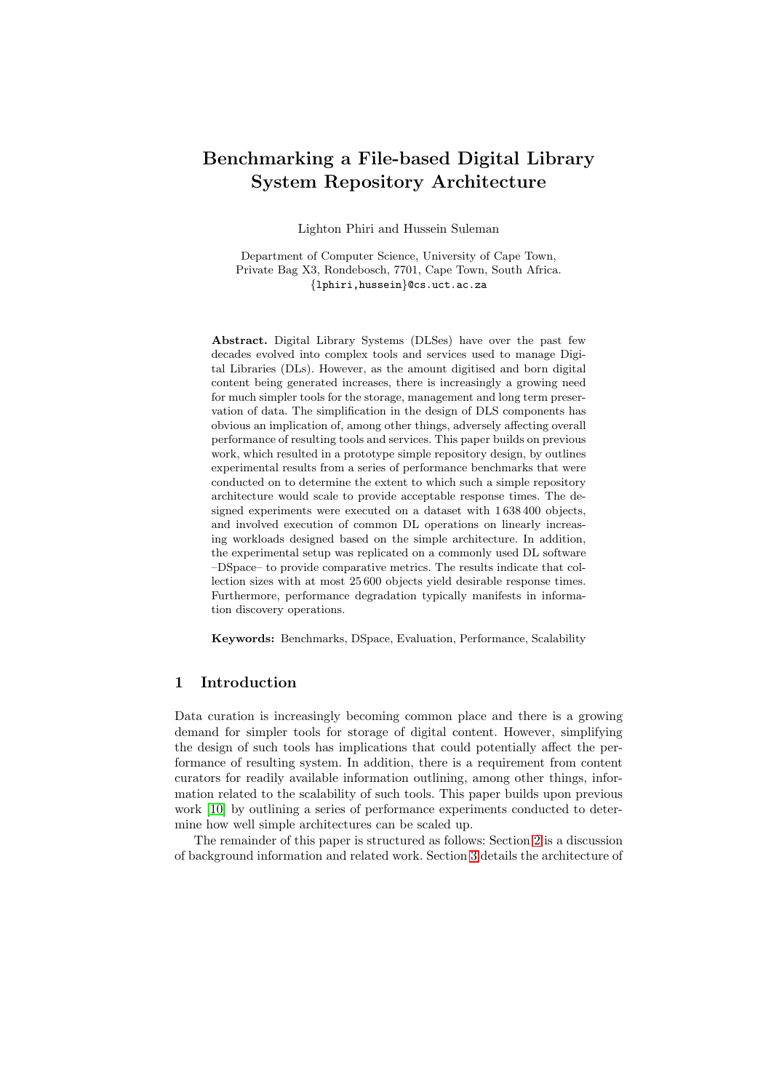# Benchmarking a File-based Digital Library System Repository Architecture

Lighton Phiri and Hussein Suleman

Department of Computer Science, University of Cape Town, Private Bag X3, Rondebosch, 7701, Cape Town, South Africa. {lphiri,hussein}@cs.uct.ac.za

Abstract. Digital Library Systems (DLSes) have over the past few decades evolved into complex tools and services used to manage Digital Libraries (DLs). However, as the amount digitised and born digital content being generated increases, there is increasingly a growing need for much simpler tools for the storage, management and long term preservation of data. The simplification in the design of DLS components has obvious an implication of, among other things, adversely affecting overall performance of resulting tools and services. This paper builds on previous work, which resulted in a prototype simple repository design, by outlines experimental results from a series of performance benchmarks that were conducted on to determine the extent to which such a simple repository architecture would scale to provide acceptable response times. The designed experiments were executed on a dataset with 1 638 400 objects, and involved execution of common DL operations on linearly increasing workloads designed based on the simple architecture. In addition, the experimental setup was replicated on a commonly used DL software –DSpace– to provide comparative metrics. The results indicate that collection sizes with at most 25 600 objects yield desirable response times. Furthermore, performance degradation typically manifests in information discovery operations.

Keywords: Benchmarks, DSpace, Evaluation, Performance, Scalability

## 1 Introduction

Data curation is increasingly becoming common place and there is a growing demand for simpler tools for storage of digital content. However, simplifying the design of such tools has implications that could potentially affect the performance of resulting system. In addition, there is a requirement from content curators for readily available information outlining, among other things, information related to the scalability of such tools. This paper builds upon previous work [\[10\]](#page-9-0) by outlining a series of performance experiments conducted to determine how well simple architectures can be scaled up.

The remainder of this paper is structured as follows: Section [2](#page-1-0) is a discussion of background information and related work. Section [3](#page-2-0) details the architecture of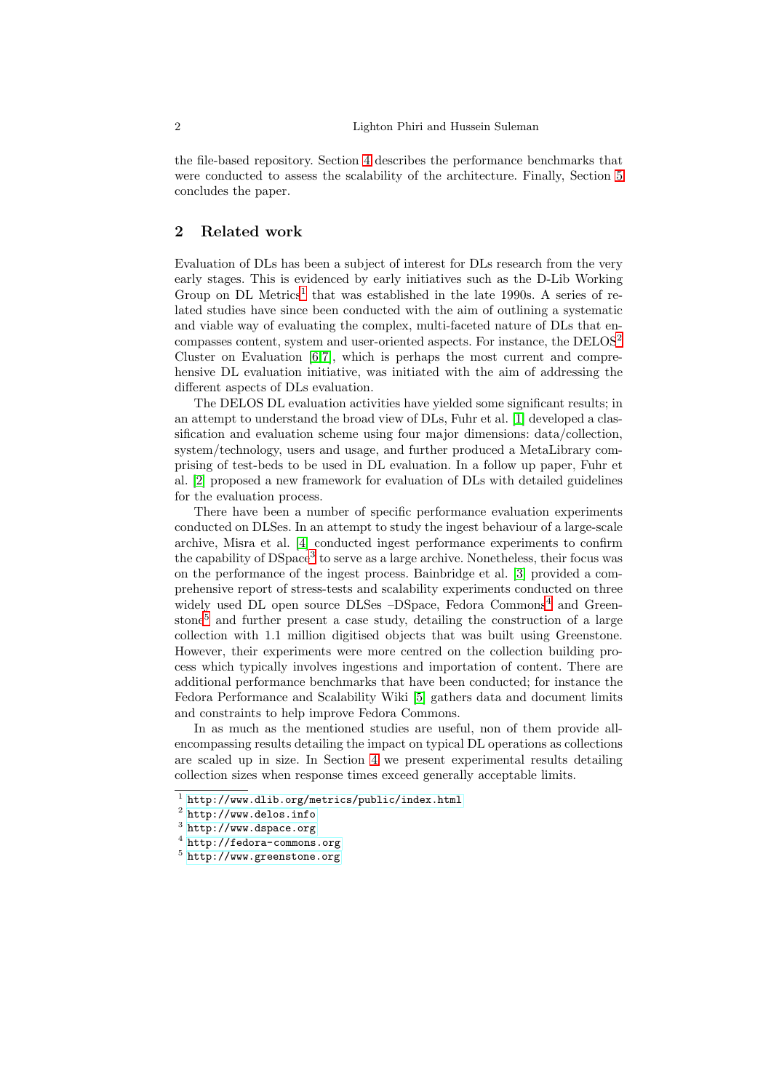the file-based repository. Section [4](#page-3-0) describes the performance benchmarks that were conducted to assess the scalability of the architecture. Finally, Section [5](#page-8-0) concludes the paper.

# <span id="page-1-0"></span>2 Related work

Evaluation of DLs has been a subject of interest for DLs research from the very early stages. This is evidenced by early initiatives such as the D-Lib Working Group on DL Metrics<sup>[1](#page-1-1)</sup> that was established in the late 1990s. A series of related studies have since been conducted with the aim of outlining a systematic and viable way of evaluating the complex, multi-faceted nature of DLs that encompasses content, system and user-oriented aspects. For instance, the DELOS[2](#page-1-2) Cluster on Evaluation [\[6,](#page-9-1)[7\]](#page-9-2), which is perhaps the most current and comprehensive DL evaluation initiative, was initiated with the aim of addressing the different aspects of DLs evaluation.

The DELOS DL evaluation activities have yielded some significant results; in an attempt to understand the broad view of DLs, Fuhr et al. [\[1\]](#page-9-3) developed a classification and evaluation scheme using four major dimensions: data/collection, system/technology, users and usage, and further produced a MetaLibrary comprising of test-beds to be used in DL evaluation. In a follow up paper, Fuhr et al. [\[2\]](#page-9-4) proposed a new framework for evaluation of DLs with detailed guidelines for the evaluation process.

There have been a number of specific performance evaluation experiments conducted on DLSes. In an attempt to study the ingest behaviour of a large-scale archive, Misra et al. [\[4\]](#page-9-5) conducted ingest performance experiments to confirm the capability of DSpace<sup>[3](#page-1-3)</sup> to serve as a large archive. Nonetheless, their focus was on the performance of the ingest process. Bainbridge et al. [\[3\]](#page-9-6) provided a comprehensive report of stress-tests and scalability experiments conducted on three widely used DL open source DLSes –DSpace, Fedora Commons<sup>[4](#page-1-4)</sup> and Green-stone<sup>[5](#page-1-5)</sup> and further present a case study, detailing the construction of a large collection with 1.1 million digitised objects that was built using Greenstone. However, their experiments were more centred on the collection building process which typically involves ingestions and importation of content. There are additional performance benchmarks that have been conducted; for instance the Fedora Performance and Scalability Wiki [\[5\]](#page-9-7) gathers data and document limits and constraints to help improve Fedora Commons.

In as much as the mentioned studies are useful, non of them provide allencompassing results detailing the impact on typical DL operations as collections are scaled up in size. In Section [4](#page-3-0) we present experimental results detailing collection sizes when response times exceed generally acceptable limits.

<sup>1</sup> <http://www.dlib.org/metrics/public/index.html>

<span id="page-1-1"></span><sup>2&</sup>lt;br><http://www.delos.info>

<span id="page-1-2"></span><sup>3</sup> <http://www.dspace.org>

<span id="page-1-3"></span><sup>4</sup> <http://fedora-commons.org>

<span id="page-1-5"></span><span id="page-1-4"></span><sup>5</sup> <http://www.greenstone.org>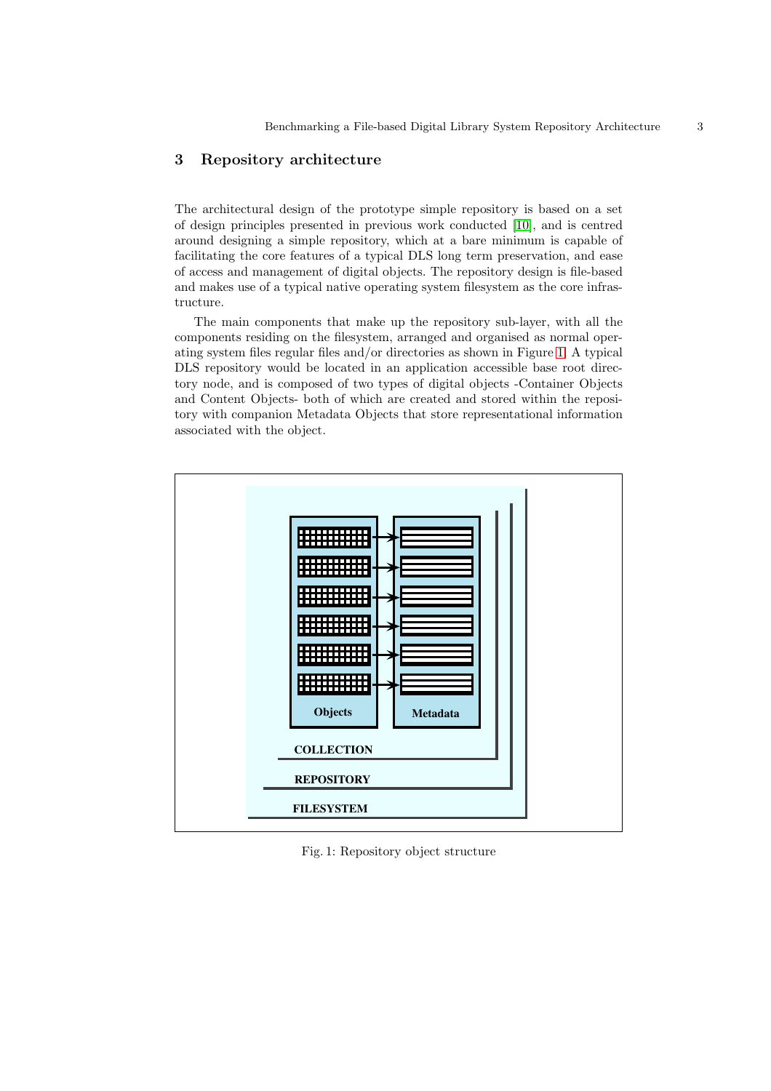# <span id="page-2-0"></span>3 Repository architecture

The architectural design of the prototype simple repository is based on a set of design principles presented in previous work conducted [\[10\]](#page-9-0), and is centred around designing a simple repository, which at a bare minimum is capable of facilitating the core features of a typical DLS long term preservation, and ease of access and management of digital objects. The repository design is file-based and makes use of a typical native operating system filesystem as the core infrastructure.

The main components that make up the repository sub-layer, with all the components residing on the filesystem, arranged and organised as normal operating system files regular files and/or directories as shown in Figure [1.](#page-2-1) A typical DLS repository would be located in an application accessible base root directory node, and is composed of two types of digital objects -Container Objects and Content Objects- both of which are created and stored within the repository with companion Metadata Objects that store representational information associated with the object.

<span id="page-2-1"></span>

Fig. 1: Repository object structure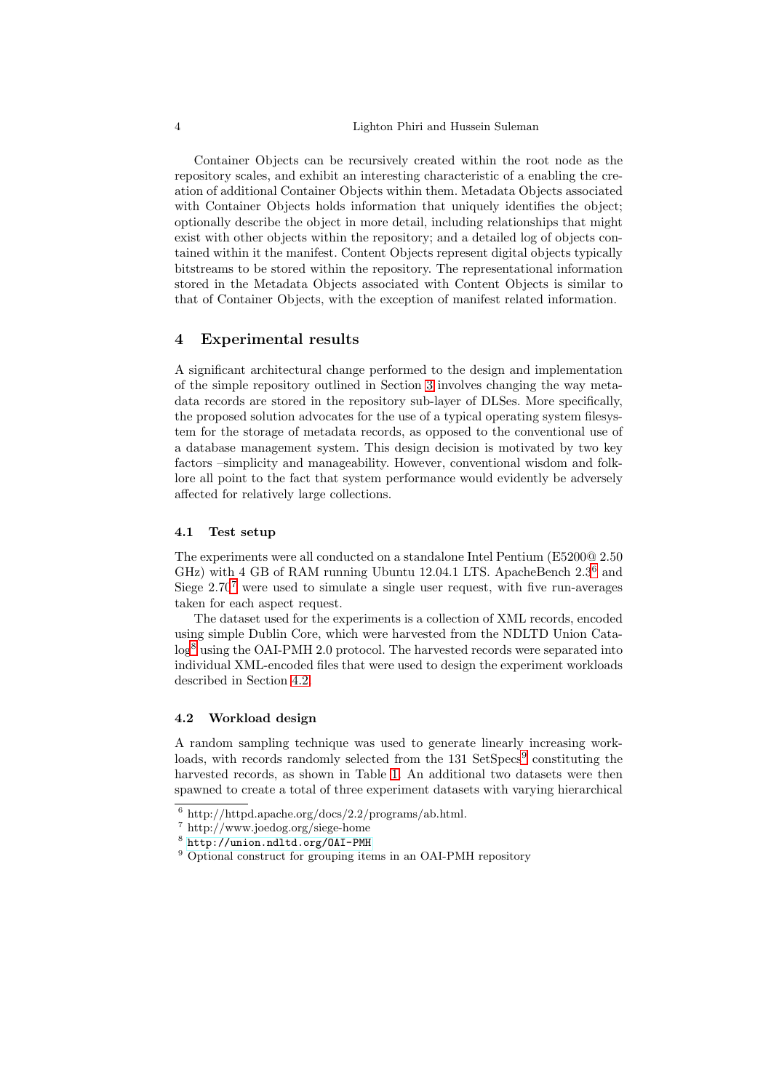#### 4 Lighton Phiri and Hussein Suleman

Container Objects can be recursively created within the root node as the repository scales, and exhibit an interesting characteristic of a enabling the creation of additional Container Objects within them. Metadata Objects associated with Container Objects holds information that uniquely identifies the object; optionally describe the object in more detail, including relationships that might exist with other objects within the repository; and a detailed log of objects contained within it the manifest. Content Objects represent digital objects typically bitstreams to be stored within the repository. The representational information stored in the Metadata Objects associated with Content Objects is similar to that of Container Objects, with the exception of manifest related information.

## <span id="page-3-0"></span>4 Experimental results

A significant architectural change performed to the design and implementation of the simple repository outlined in Section [3](#page-2-0) involves changing the way metadata records are stored in the repository sub-layer of DLSes. More specifically, the proposed solution advocates for the use of a typical operating system filesystem for the storage of metadata records, as opposed to the conventional use of a database management system. This design decision is motivated by two key factors –simplicity and manageability. However, conventional wisdom and folklore all point to the fact that system performance would evidently be adversely affected for relatively large collections.

#### 4.1 Test setup

The experiments were all conducted on a standalone Intel Pentium (E5200@ 2.50 GHz) with 4 GB of RAM running Ubuntu 12.04.1 LTS. ApacheBench 2.3[6](#page-3-1) and Siege  $2.70^7$  $2.70^7$  $2.70^7$  were used to simulate a single user request, with five run-averages taken for each aspect request.

The dataset used for the experiments is a collection of XML records, encoded using simple Dublin Core, which were harvested from the NDLTD Union Cata-log<sup>[8](#page-3-3)</sup> using the OAI-PMH 2.0 protocol. The harvested records were separated into individual XML-encoded files that were used to design the experiment workloads described in Section [4.2.](#page-3-4)

#### <span id="page-3-4"></span>4.2 Workload design

A random sampling technique was used to generate linearly increasing work-loads, with records randomly selected from the 131 SetSpecs<sup>[9](#page-3-5)</sup> constituting the harvested records, as shown in Table [1.](#page-4-0) An additional two datasets were then spawned to create a total of three experiment datasets with varying hierarchical

 $\frac{6 \text{ http://http://http.d.pache.org/docs/2.2/programs/ab.html.}}{6 \text{ http://http.d.pache.org/docs/2.2/programs/ab.html.}}$ 

<span id="page-3-1"></span><sup>7</sup> http://www.joedog.org/siege-home

<span id="page-3-2"></span><sup>8</sup> <http://union.ndltd.org/OAI-PMH>

<span id="page-3-5"></span><span id="page-3-3"></span><sup>&</sup>lt;sup>9</sup> Optional construct for grouping items in an OAI-PMH repository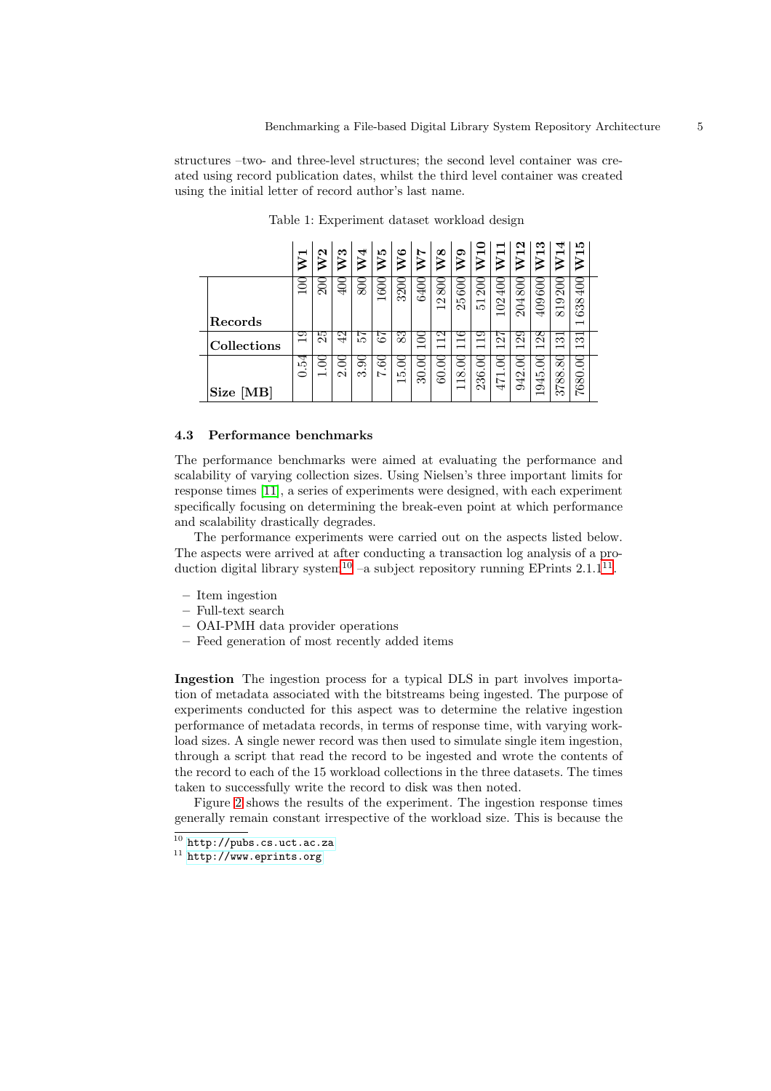<span id="page-4-0"></span>structures –two- and three-level structures; the second level container was created using record publication dates, whilst the third level container was created using the initial letter of record author's last name.

|             |        | $\sim$ | ಣ              | ↤       | ۱O<br>₹                          | అ<br>$\geqslant$         | Ņ                             | ∞<br>⋗                              | ຶ                             | −                                                           | ⊣<br>$\gtrsim$                                 | N<br>−                                  | ಣ<br>−                             | ᠴ<br>−                                                           | מו                            |
|-------------|--------|--------|----------------|---------|----------------------------------|--------------------------|-------------------------------|-------------------------------------|-------------------------------|-------------------------------------------------------------|------------------------------------------------|-----------------------------------------|------------------------------------|------------------------------------------------------------------|-------------------------------|
|             | $\Xi$  | న్ౖ    | ই              | ଛି      | ତିଠି<br>$\overline{\phantom{0}}$ | 3200                     | 6400                          | ଛ<br>N<br>$\overline{\phantom{0}}$  | ଟ୍ର<br>Ľ<br>$\mathbf{\Omega}$ | $\widetilde{\varepsilon}$<br>$\overline{\phantom{0}}$<br>ம் | 90<br>$\mathbb{S}$<br>$\overline{\phantom{0}}$ | $\mathrm{SO}$<br>Z<br>$\mathbf{\Omega}$ | ତିଠା<br>409                        | $\widetilde{\rm S}$<br>⊙<br>$\overline{\phantom{0}}$<br>$\infty$ | ⊉<br>∞<br>S<br>ం              |
| Records     |        |        |                |         |                                  |                          |                               |                                     |                               |                                                             |                                                |                                         |                                    |                                                                  | $\overline{\phantom{0}}$      |
| Collections | ⊝<br>⊣ | ഥ<br>N | $\overline{ }$ | ⊢<br>LO | ∼<br>ం                           | 3<br>$\infty$            | 0<br>$\overline{\phantom{0}}$ | 21<br>⊣<br>$\overline{\phantom{0}}$ | G<br>ᅳ                        | ా<br>$\overline{\phantom{0}}$<br>⊣                          | ⊢<br>$\mathbf{\Omega}$<br>⊣                    | ౧<br>N<br>ᅳ                             | 8<br>N<br>$\overline{\phantom{0}}$ | ⊣<br>S<br>$\overline{\phantom{0}}$                               | ొ<br>$\overline{\phantom{0}}$ |
|             | ਨੂ     | ਠ      | Ξ<br>$\sim$    | g<br>∞  | 3<br>$\sim$                      | 8<br>ŗΩ                  | 3<br>$\bullet$                | ఠ<br>$\cdot$                        | ⋶<br>${}^{\circ}$             | ⋶                                                           | S                                              | ≍                                       | ਠ                                  | ಹ                                                                | ⊂                             |
| Size [MB]   |        |        |                |         |                                  | $\overline{\phantom{0}}$ | Z                             | $\infty$                            | $\overline{\phantom{0}}$      | 236                                                         | 471                                            | 942                                     | 945<br>$\overline{\phantom{0}}$    | 88<br>$\overline{ }$<br>∞                                        | ∞<br>అ<br>∼                   |

Table 1: Experiment dataset workload design

#### <span id="page-4-3"></span>4.3 Performance benchmarks

The performance benchmarks were aimed at evaluating the performance and scalability of varying collection sizes. Using Nielsen's three important limits for response times [\[11\]](#page-9-8), a series of experiments were designed, with each experiment specifically focusing on determining the break-even point at which performance and scalability drastically degrades.

The performance experiments were carried out on the aspects listed below. The aspects were arrived at after conducting a transaction log analysis of a pro-duction digital library system<sup>[10](#page-4-1)</sup>  $-a$  subject repository running EPrints 2.1.1<sup>[11](#page-4-2)</sup>.

- Item ingestion
- Full-text search
- OAI-PMH data provider operations
- Feed generation of most recently added items

Ingestion The ingestion process for a typical DLS in part involves importation of metadata associated with the bitstreams being ingested. The purpose of experiments conducted for this aspect was to determine the relative ingestion performance of metadata records, in terms of response time, with varying workload sizes. A single newer record was then used to simulate single item ingestion, through a script that read the record to be ingested and wrote the contents of the record to each of the 15 workload collections in the three datasets. The times taken to successfully write the record to disk was then noted.

Figure [2](#page-5-0) shows the results of the experiment. The ingestion response times generally remain constant irrespective of the workload size. This is because the

 $\overline{10 \text{ http://pubs.cs.uct.ac.za}}$  $\overline{10 \text{ http://pubs.cs.uct.ac.za}}$  $\overline{10 \text{ http://pubs.cs.uct.ac.za}}$ 

<span id="page-4-2"></span><span id="page-4-1"></span> $11$  <http://www.eprints.org>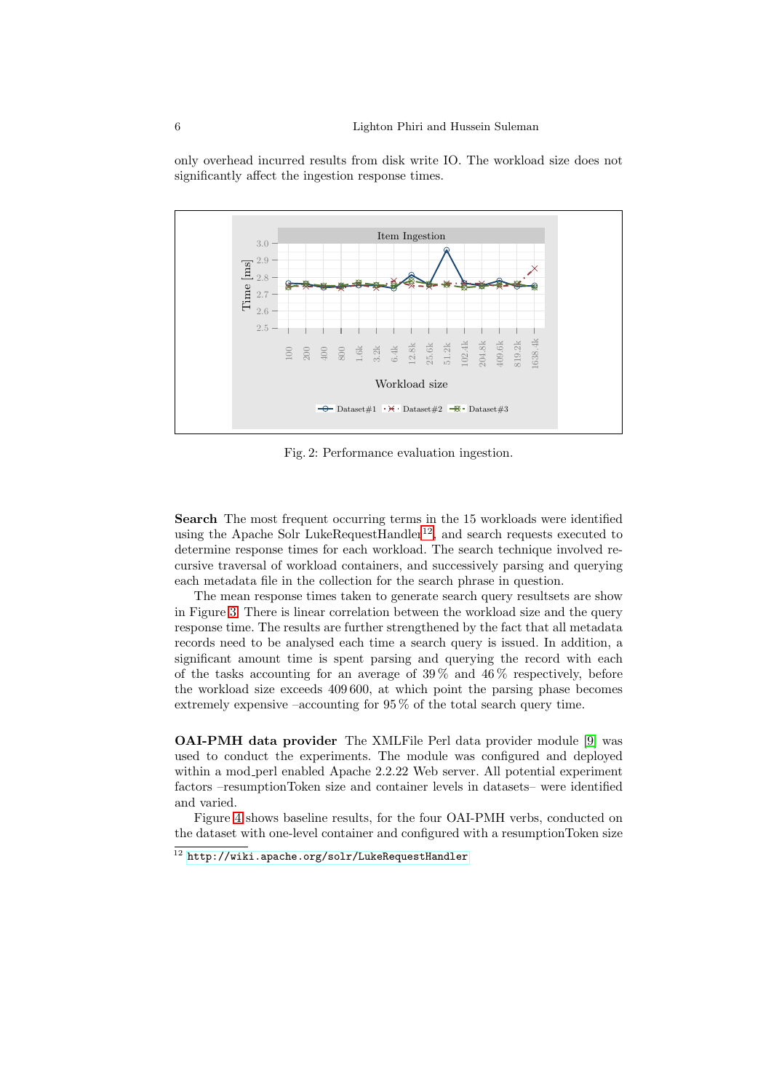only overhead incurred results from disk write IO. The workload size does not significantly affect the ingestion response times.

<span id="page-5-0"></span>

Fig. 2: Performance evaluation ingestion.

Search The most frequent occurring terms in the 15 workloads were identified using the Apache Solr LukeRequestHandler<sup>[12](#page-5-1)</sup>, and search requests executed to determine response times for each workload. The search technique involved recursive traversal of workload containers, and successively parsing and querying each metadata file in the collection for the search phrase in question.

The mean response times taken to generate search query resultsets are show in Figure [3.](#page-6-0) There is linear correlation between the workload size and the query response time. The results are further strengthened by the fact that all metadata records need to be analysed each time a search query is issued. In addition, a significant amount time is spent parsing and querying the record with each of the tasks accounting for an average of  $39\%$  and  $46\%$  respectively, before the workload size exceeds 409 600, at which point the parsing phase becomes extremely expensive –accounting for  $95\%$  of the total search query time.

OAI-PMH data provider The XMLFile Perl data provider module [\[9\]](#page-9-9) was used to conduct the experiments. The module was configured and deployed within a mod perl enabled Apache 2.2.22 Web server. All potential experiment factors –resumptionToken size and container levels in datasets– were identified and varied.

Figure [4](#page-7-0) shows baseline results, for the four OAI-PMH verbs, conducted on the dataset with one-level container and configured with a resumptionToken size

<span id="page-5-1"></span> $^{12}$ <http://wiki.apache.org/solr/LukeRequestHandler>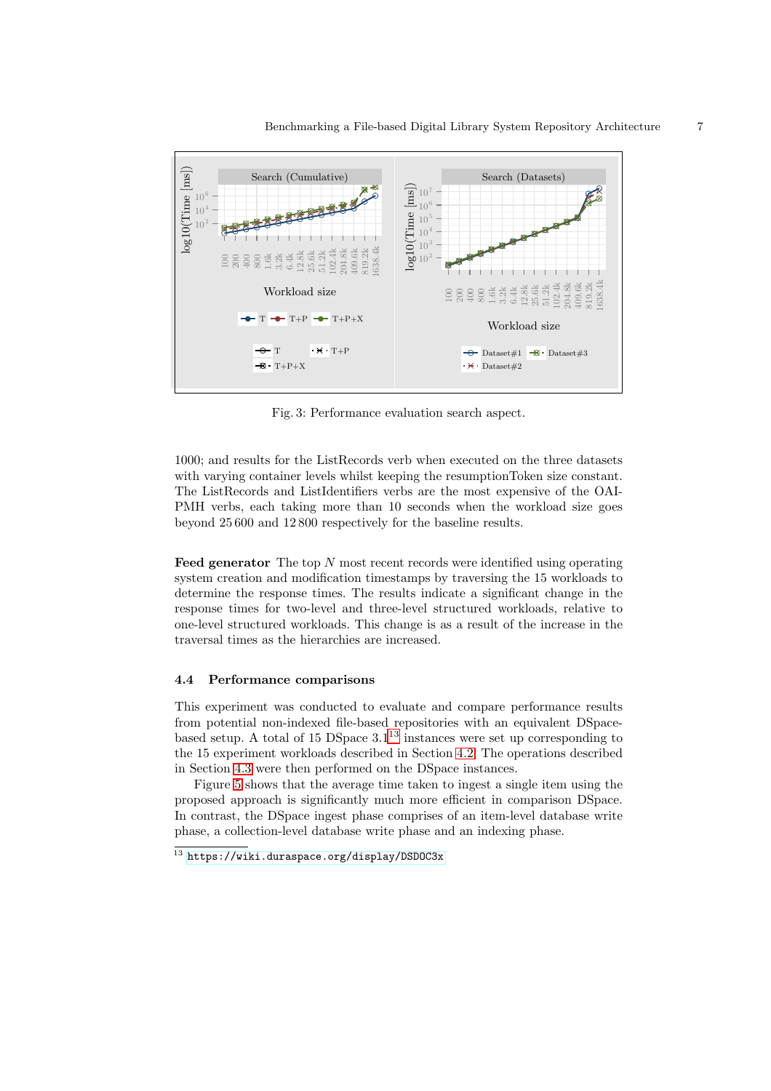<span id="page-6-0"></span>

100<br>200<br>200 100 11 1.6k 3.2k 6.4k 12.8k 25.6k 51.2k 102.4k 204.8k 409.6k 819.2k 1638.4k

÷.

 $\cdot \times \cdot$  Dataset#2

Workload size

Dataset#1  $\overline{\mathcal{B}}$  Dataset#3

Fig. 3: Performance evaluation search aspect.

1000; and results for the ListRecords verb when executed on the three datasets with varying container levels whilst keeping the resumptionToken size constant. The ListRecords and ListIdentifiers verbs are the most expensive of the OAI-PMH verbs, each taking more than 10 seconds when the workload size goes beyond 25 600 and 12 800 respectively for the baseline results.

**Feed generator** The top  $N$  most recent records were identified using operating system creation and modification timestamps by traversing the 15 workloads to determine the response times. The results indicate a significant change in the response times for two-level and three-level structured workloads, relative to one-level structured workloads. This change is as a result of the increase in the traversal times as the hierarchies are increased.

#### 4.4 Performance comparisons

Workload size

 $T - T + P$   $T + P + X$ 

 $\overline{\Theta}$  T  $\cdot$   $\overline{\mathbf{y}}$   $\cdot$   $\overline{\mathbf{y}}$   $\cdot$   $\overline{\mathbf{y}}$   $\cdot$   $\overline{\mathbf{y}}$   $\cdot$   $\overline{\mathbf{y}}$   $\cdot$   $\overline{\mathbf{y}}$   $\cdot$   $\overline{\mathbf{y}}$   $\cdot$   $\overline{\mathbf{y}}$   $\cdot$   $\overline{\mathbf{y}}$   $\cdot$   $\overline{\mathbf{y}}$   $\cdot$   $\overline{\mathbf{y}}$   $\cdot$   $\overline{\mathbf{y}}$   $\cdot$ 

 $\bullet$  T+P+X

This experiment was conducted to evaluate and compare performance results from potential non-indexed file-based repositories with an equivalent DSpacebased setup. A total of 15 DSpace 3.1 [13](#page-6-1) instances were set up corresponding to the 15 experiment workloads described in Section [4.2.](#page-3-4) The operations described in Section [4.3](#page-4-3) were then performed on the DSpace instances.

Figure [5](#page-7-1) shows that the average time taken to ingest a single item using the proposed approach is significantly much more efficient in comparison DSpace. In contrast, the DSpace ingest phase comprises of an item-level database write phase, a collection-level database write phase and an indexing phase.

<span id="page-6-1"></span> $^{13}$ <https://wiki.duraspace.org/display/DSDOC3x>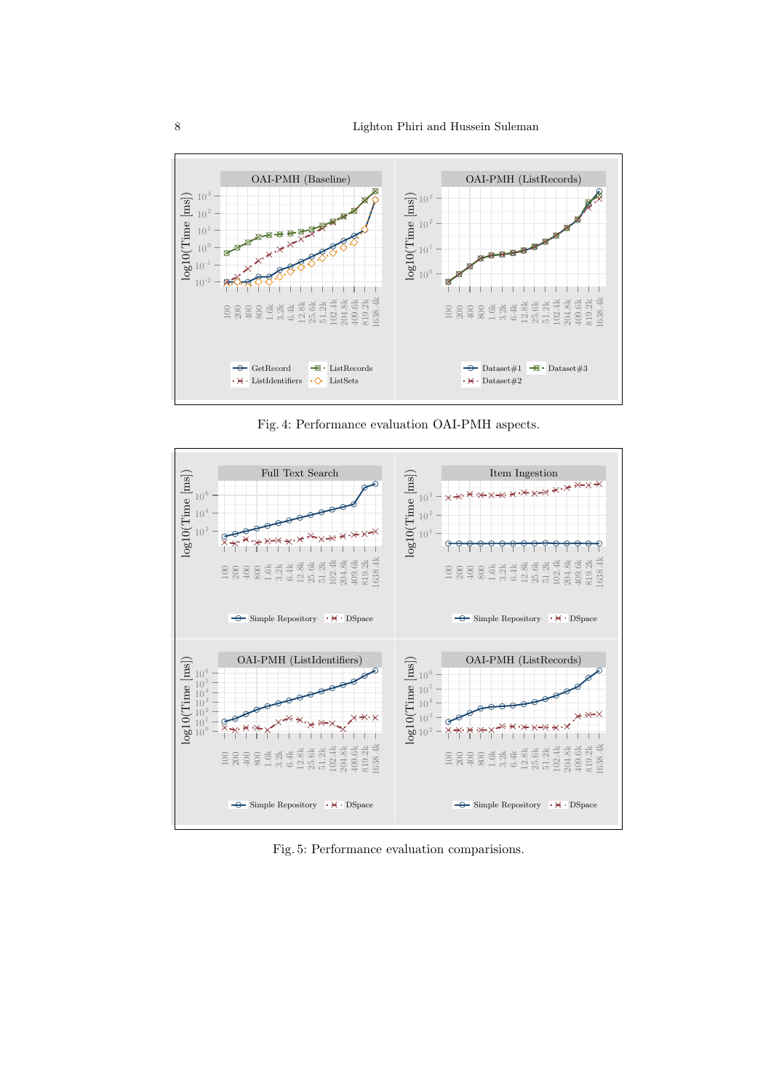<span id="page-7-0"></span>

Fig. 4: Performance evaluation OAI-PMH aspects.

<span id="page-7-1"></span>

Fig. 5: Performance evaluation comparisions.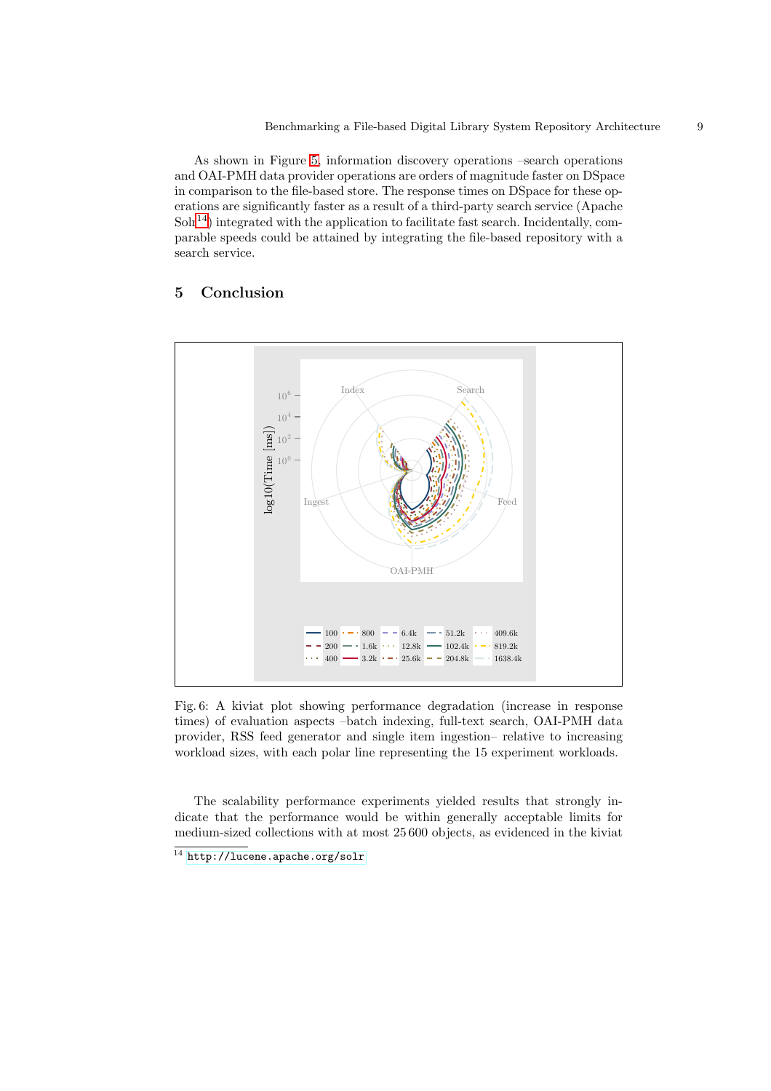As shown in Figure [5,](#page-7-1) information discovery operations –search operations and OAI-PMH data provider operations are orders of magnitude faster on DSpace in comparison to the file-based store. The response times on DSpace for these operations are significantly faster as a result of a third-party search service (Apache  $S\ddot{\mathrm{d}}$ ) integrated with the application to facilitate fast search. Incidentally, comparable speeds could be attained by integrating the file-based repository with a search service.

# <span id="page-8-0"></span>5 Conclusion

<span id="page-8-2"></span>

Fig. 6: A kiviat plot showing performance degradation (increase in response times) of evaluation aspects –batch indexing, full-text search, OAI-PMH data provider, RSS feed generator and single item ingestion– relative to increasing workload sizes, with each polar line representing the 15 experiment workloads.

The scalability performance experiments yielded results that strongly indicate that the performance would be within generally acceptable limits for medium-sized collections with at most 25 600 objects, as evidenced in the kiviat

<span id="page-8-1"></span> $^{14}$ <http://lucene.apache.org/solr>